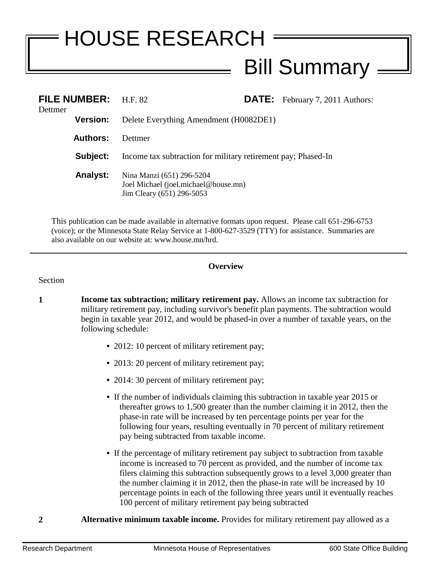## HOUSE RESEARCH Bill Summary

| Dettmer | FILE NUMBER: H.F. 82 |                                                                                                |  | <b>DATE:</b> February 7, 2011 Authors: |
|---------|----------------------|------------------------------------------------------------------------------------------------|--|----------------------------------------|
|         | <b>Version:</b>      | Delete Everything Amendment (H0082DE1)                                                         |  |                                        |
|         | <b>Authors:</b>      | <b>Dettmer</b>                                                                                 |  |                                        |
|         | Subject:             | Income tax subtraction for military retirement pay; Phased-In                                  |  |                                        |
|         | <b>Analyst:</b>      | Nina Manzi (651) 296-5204<br>Joel Michael (joel.michael@house.mn)<br>Jim Cleary (651) 296-5053 |  |                                        |

This publication can be made available in alternative formats upon request. Please call 651-296-6753 (voice); or the Minnesota State Relay Service at 1-800-627-3529 (TTY) for assistance. Summaries are also available on our website at: www.house.mn/hrd.

## **Overview**

## Section

- **1 Income tax subtraction; military retirement pay.** Allows an income tax subtraction for military retirement pay, including survivor's benefit plan payments. The subtraction would begin in taxable year 2012, and would be phased-in over a number of taxable years, on the following schedule:
	- 2012: 10 percent of military retirement pay;
	- 2013: 20 percent of military retirement pay;
	- 2014: 30 percent of military retirement pay;
	- **•** If the number of individuals claiming this subtraction in taxable year 2015 or thereafter grows to 1,500 greater than the number claiming it in 2012, then the phase-in rate will be increased by ten percentage points per year for the following four years, resulting eventually in 70 percent of military retirement pay being subtracted from taxable income.
	- **•** If the percentage of military retirement pay subject to subtraction from taxable income is increased to 70 percent as provided, and the number of income tax filers claiming this subtraction subsequently grows to a level 3,000 greater than the number claiming it in 2012, then the phase-in rate will be increased by 10 percentage points in each of the following three years until it eventually reaches 100 percent of military retirement pay being subtracted
- **2 Alternative minimum taxable income.** Provides for military retirement pay allowed as a